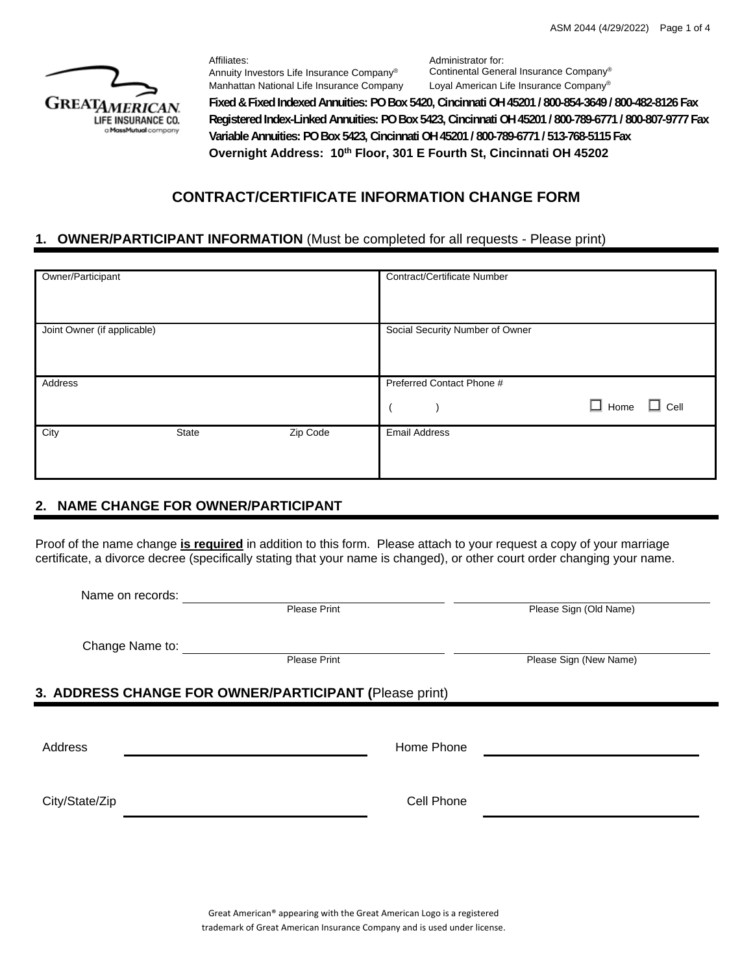

Affiliates: Annuity Investors Life Insurance Company®

Administrator for: Continental General Insurance Company® Manhattan National Life Insurance Company Loyal American Life Insurance Company<sup>®</sup>

**Fixed & Fixed Indexed Annuities: PO Box 5420, Cincinnati OH 45201 / 800-854-3649 / 800-482-8126 Fax Registered Index-Linked Annuities: PO Box 5423, Cincinnati OH 45201 / 800-789-6771 / 800-807-9777 Fax Variable Annuities: PO Box 5423, Cincinnati OH 45201 / 800-789-6771 / 513-768-5115 Fax Overnight Address: 10th Floor, 301 E Fourth St, Cincinnati OH 45202**

# **CONTRACT/CERTIFICATE INFORMATION CHANGE FORM**

## **1. OWNER/PARTICIPANT INFORMATION** (Must be completed for all requests - Please print)

| Owner/Participant           |       |          | <b>Contract/Certificate Number</b> |
|-----------------------------|-------|----------|------------------------------------|
| Joint Owner (if applicable) |       |          | Social Security Number of Owner    |
| Address                     |       |          | Preferred Contact Phone #          |
|                             |       |          | $\Box$ Home<br>$\Box$ Cell         |
| City                        | State | Zip Code | <b>Email Address</b>               |

# **2. NAME CHANGE FOR OWNER/PARTICIPANT**

Proof of the name change **is required** in addition to this form. Please attach to your request a copy of your marriage certificate, a divorce decree (specifically stating that your name is changed), or other court order changing your name.

|                                                        | Name on records: |                     |            |                        |  |  |
|--------------------------------------------------------|------------------|---------------------|------------|------------------------|--|--|
|                                                        |                  | <b>Please Print</b> |            | Please Sign (Old Name) |  |  |
|                                                        |                  |                     |            |                        |  |  |
|                                                        | Change Name to:  | <b>Please Print</b> |            | Please Sign (New Name) |  |  |
|                                                        |                  |                     |            |                        |  |  |
| 3. ADDRESS CHANGE FOR OWNER/PARTICIPANT (Please print) |                  |                     |            |                        |  |  |
|                                                        |                  |                     |            |                        |  |  |
| Address                                                |                  |                     | Home Phone |                        |  |  |
|                                                        |                  |                     |            |                        |  |  |
|                                                        |                  |                     |            |                        |  |  |
| City/State/Zip                                         |                  |                     | Cell Phone |                        |  |  |
|                                                        |                  |                     |            |                        |  |  |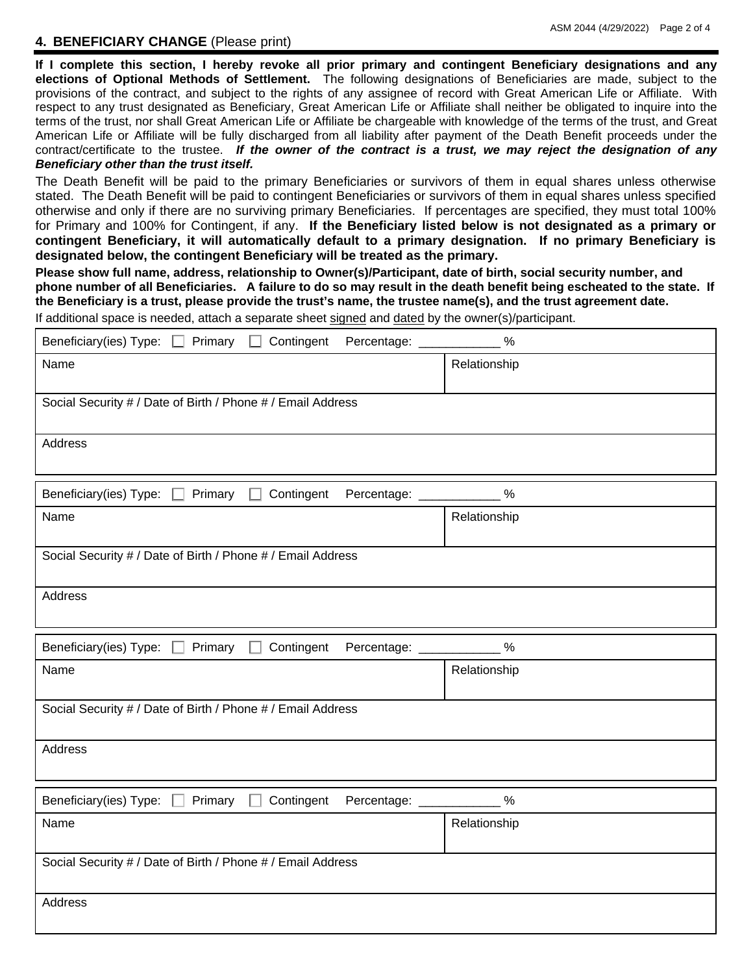#### **4. BENEFICIARY CHANGE** (Please print)

**If I complete this section, I hereby revoke all prior primary and contingent Beneficiary designations and any elections of Optional Methods of Settlement.** The following designations of Beneficiaries are made, subject to the provisions of the contract, and subject to the rights of any assignee of record with Great American Life or Affiliate. With respect to any trust designated as Beneficiary, Great American Life or Affiliate shall neither be obligated to inquire into the terms of the trust, nor shall Great American Life or Affiliate be chargeable with knowledge of the terms of the trust, and Great American Life or Affiliate will be fully discharged from all liability after payment of the Death Benefit proceeds under the contract/certificate to the trustee. *If the owner of the contract is a trust, we may reject the designation of any Beneficiary other than the trust itself.* 

The Death Benefit will be paid to the primary Beneficiaries or survivors of them in equal shares unless otherwise stated. The Death Benefit will be paid to contingent Beneficiaries or survivors of them in equal shares unless specified otherwise and only if there are no surviving primary Beneficiaries. If percentages are specified, they must total 100% for Primary and 100% for Contingent, if any. **If the Beneficiary listed below is not designated as a primary or contingent Beneficiary, it will automatically default to a primary designation. If no primary Beneficiary is designated below, the contingent Beneficiary will be treated as the primary.** 

**Please show full name, address, relationship to Owner(s)/Participant, date of birth, social security number, and phone number of all Beneficiaries. A failure to do so may result in the death benefit being escheated to the state. If the Beneficiary is a trust, please provide the trust's name, the trustee name(s), and the trust agreement date.** 

If additional space is needed, attach a separate sheet signed and dated by the owner(s)/participant.

| Beneficiary(ies) Type:<br>Primary<br>Contingent<br>Percentage: _____<br>$\mathsf{L}$ | $\%$         |
|--------------------------------------------------------------------------------------|--------------|
| Name                                                                                 | Relationship |
| Social Security # / Date of Birth / Phone # / Email Address                          |              |
| Address                                                                              |              |
| Beneficiary(ies) Type:<br>Contingent<br>Primary<br>Percentage: __<br>$\mathsf{L}$    | $\%$         |
| Name                                                                                 | Relationship |
| Social Security # / Date of Birth / Phone # / Email Address                          |              |
| Address                                                                              |              |
| Primary<br>Contingent<br>Beneficiary(ies) Type:<br>Percentage: _____                 | $\%$         |
| Name                                                                                 | Relationship |
| Social Security # / Date of Birth / Phone # / Email Address                          |              |
| Address                                                                              |              |
| Contingent<br>Beneficiary(ies) Type: $\square$<br>Primary<br>Percentage:             | $\%$         |
| Name                                                                                 | Relationship |
| Social Security # / Date of Birth / Phone # / Email Address                          |              |
| Address                                                                              |              |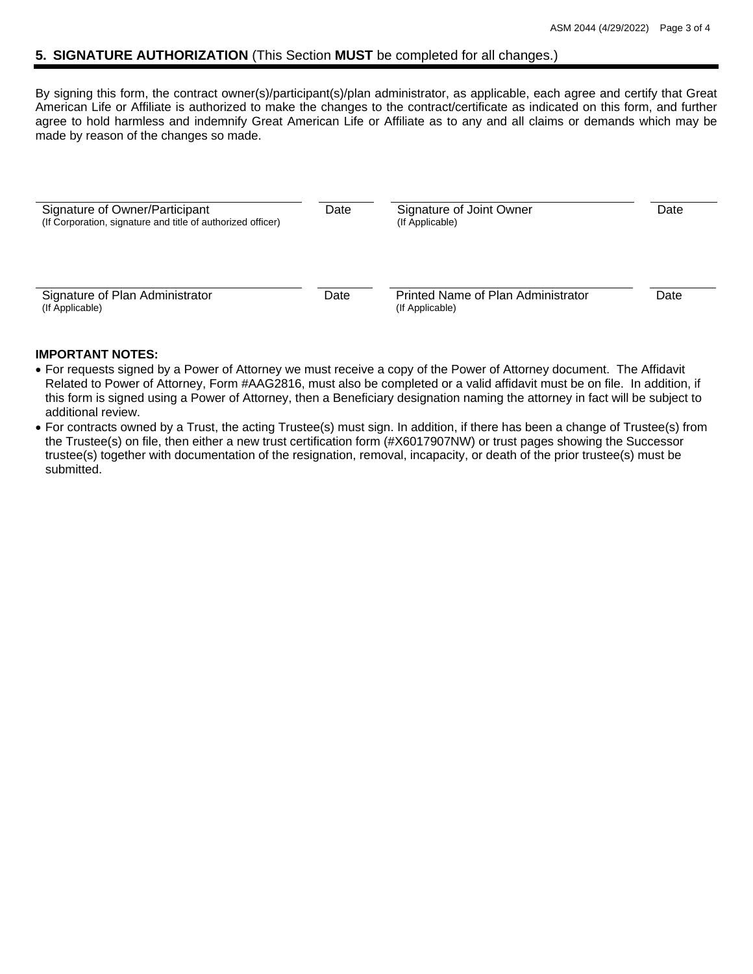## **5. SIGNATURE AUTHORIZATION** (This Section **MUST** be completed for all changes.)

By signing this form, the contract owner(s)/participant(s)/plan administrator, as applicable, each agree and certify that Great American Life or Affiliate is authorized to make the changes to the contract/certificate as indicated on this form, and further agree to hold harmless and indemnify Great American Life or Affiliate as to any and all claims or demands which may be made by reason of the changes so made.

| Signature of Owner/Participant<br>(If Corporation, signature and title of authorized officer) | Date | Signature of Joint Owner<br>(If Applicable)           | Date |
|-----------------------------------------------------------------------------------------------|------|-------------------------------------------------------|------|
| Signature of Plan Administrator<br>(If Applicable)                                            | Date | Printed Name of Plan Administrator<br>(If Applicable) | Date |

#### **IMPORTANT NOTES:**

- For requests signed by a Power of Attorney we must receive a copy of the Power of Attorney document. The Affidavit Related to Power of Attorney, Form #AAG2816, must also be completed or a valid affidavit must be on file. In addition, if this form is signed using a Power of Attorney, then a Beneficiary designation naming the attorney in fact will be subject to additional review.
- For contracts owned by a Trust, the acting Trustee(s) must sign. In addition, if there has been a change of Trustee(s) from the Trustee(s) on file, then either a new trust certification form (#X6017907NW) or trust pages showing the Successor trustee(s) together with documentation of the resignation, removal, incapacity, or death of the prior trustee(s) must be submitted.